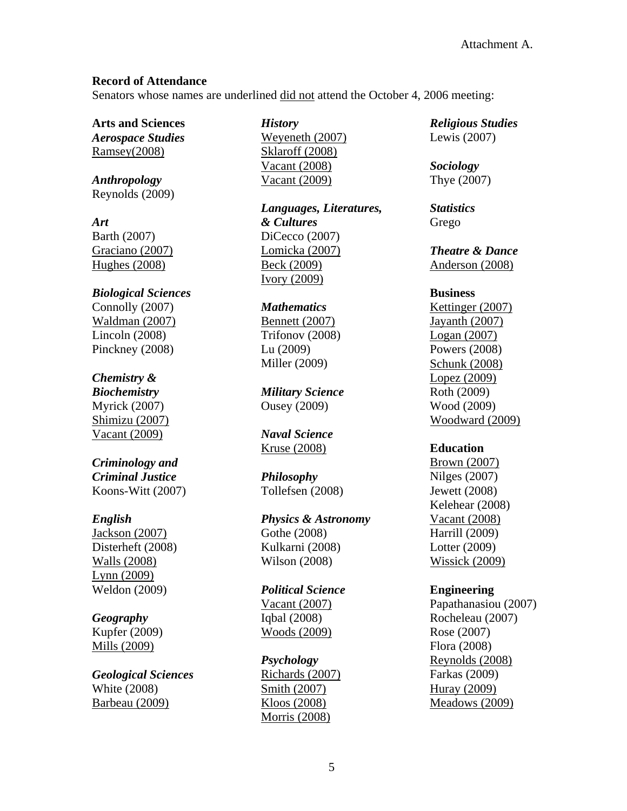### **Record of Attendance**

Senators whose names are underlined did not attend the October 4, 2006 meeting:

**Arts and Sciences**  *Aerospace Studies* Ramsey(2008)

*Anthropology* Reynolds (2009)

*Art*  Barth (2007) Graciano (2007) Hughes (2008)

*Biological Sciences* Connolly (2007) Waldman (2007) Lincoln (2008) Pinckney (2008)

# *Chemistry &*

*Biochemistry*  Myrick (2007) Shimizu (2007) Vacant (2009)

### *Criminology and Criminal Justice*  Koons-Witt (2007)

# *English*

Jackson (2007) Disterheft (2008) Walls (2008) Lynn (2009) Weldon (2009)

# *Geography*

Kupfer (2009) Mills (2009)

*Geological Sciences*  White (2008) Barbeau (2009)

*History*  Weyeneth (2007) Sklaroff (2008) Vacant (2008) Vacant (2009)

*Languages, Literatures, & Cultures* DiCecco (2007) Lomicka (2007) Beck (2009) Ivory (2009)

#### *Mathematics*

Bennett (2007) Trifonov (2008) Lu (2009) Miller (2009)

*Military Science*  Ousey (2009)

*Naval Science*  Kruse (2008)

*Philosophy* Tollefsen (2008)

*Physics & Astronomy* Gothe (2008) Kulkarni (2008) Wilson (2008)

*Political Science*  Vacant (2007) Iqbal (2008) Woods (2009)

*Psychology* Richards (2007) Smith (2007) Kloos (2008) Morris (2008)

*Religious Studies*  Lewis (2007)

*Sociology*  Thye (2007)

*Statistics* Grego

*Theatre & Dance*  Anderson (2008)

### **Business**

Kettinger (2007) Jayanth (2007) Logan (2007) Powers (2008) Schunk (2008) Lopez (2009) Roth (2009) Wood (2009) Woodward (2009)

# **Education**

Brown (2007) Nilges (2007) Jewett (2008) Kelehear (2008) Vacant (2008) Harrill (2009) Lotter (2009) Wissick (2009)

# **Engineering**

Papathanasiou (2007) Rocheleau (2007) Rose (2007) Flora (2008) Reynolds (2008) Farkas (2009) Huray (2009) Meadows (2009)